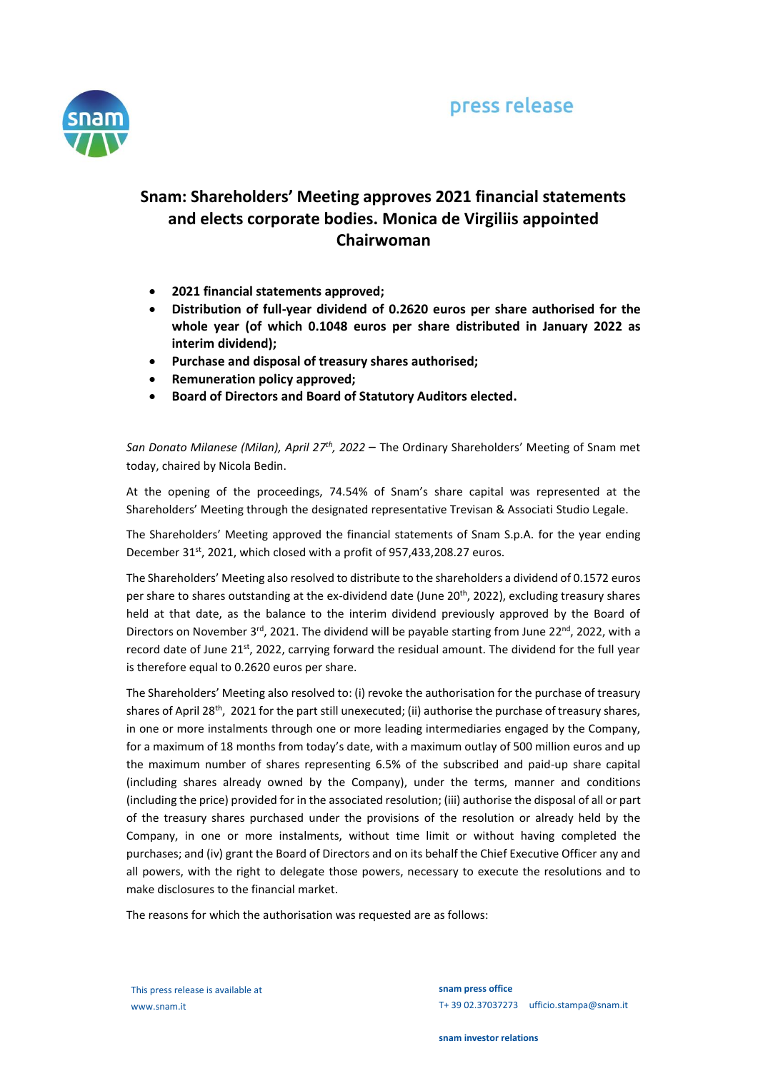

## **Snam: Shareholders' Meeting approves 2021 financial statements and elects corporate bodies. Monica de Virgiliis appointed Chairwoman**

- **2021 financial statements approved;**
- **Distribution of full-year dividend of 0.2620 euros per share authorised for the whole year (of which 0.1048 euros per share distributed in January 2022 as interim dividend);**
- **Purchase and disposal of treasury shares authorised;**
- **Remuneration policy approved;**
- **Board of Directors and Board of Statutory Auditors elected.**

*San Donato Milanese (Milan), April 27th , 2022* – The Ordinary Shareholders' Meeting of Snam met today, chaired by Nicola Bedin.

At the opening of the proceedings, 74.54% of Snam's share capital was represented at the Shareholders' Meeting through the designated representative Trevisan & Associati Studio Legale.

The Shareholders' Meeting approved the financial statements of Snam S.p.A. for the year ending December 31<sup>st</sup>, 2021, which closed with a profit of 957,433,208.27 euros.

The Shareholders' Meeting also resolved to distribute to the shareholders a dividend of 0.1572 euros per share to shares outstanding at the ex-dividend date (June 20<sup>th</sup>, 2022), excluding treasury shares held at that date, as the balance to the interim dividend previously approved by the Board of Directors on November 3<sup>rd</sup>, 2021. The dividend will be payable starting from June 22<sup>nd</sup>, 2022, with a record date of June 21<sup>st</sup>, 2022, carrying forward the residual amount. The dividend for the full year is therefore equal to 0.2620 euros per share.

The Shareholders' Meeting also resolved to: (i) revoke the authorisation for the purchase of treasury shares of April 28<sup>th</sup>, 2021 for the part still unexecuted; (ii) authorise the purchase of treasury shares, in one or more instalments through one or more leading intermediaries engaged by the Company, for a maximum of 18 months from today's date, with a maximum outlay of 500 million euros and up the maximum number of shares representing 6.5% of the subscribed and paid-up share capital (including shares already owned by the Company), under the terms, manner and conditions (including the price) provided for in the associated resolution; (iii) authorise the disposal of all or part of the treasury shares purchased under the provisions of the resolution or already held by the Company, in one or more instalments, without time limit or without having completed the purchases; and (iv) grant the Board of Directors and on its behalf the Chief Executive Officer any and all powers, with the right to delegate those powers, necessary to execute the resolutions and to make disclosures to the financial market.

The reasons for which the authorisation was requested are as follows:

This press release is available at www.snam.it

**snam press office** T+ 39 02.37037273 ufficio.stampa@snam.it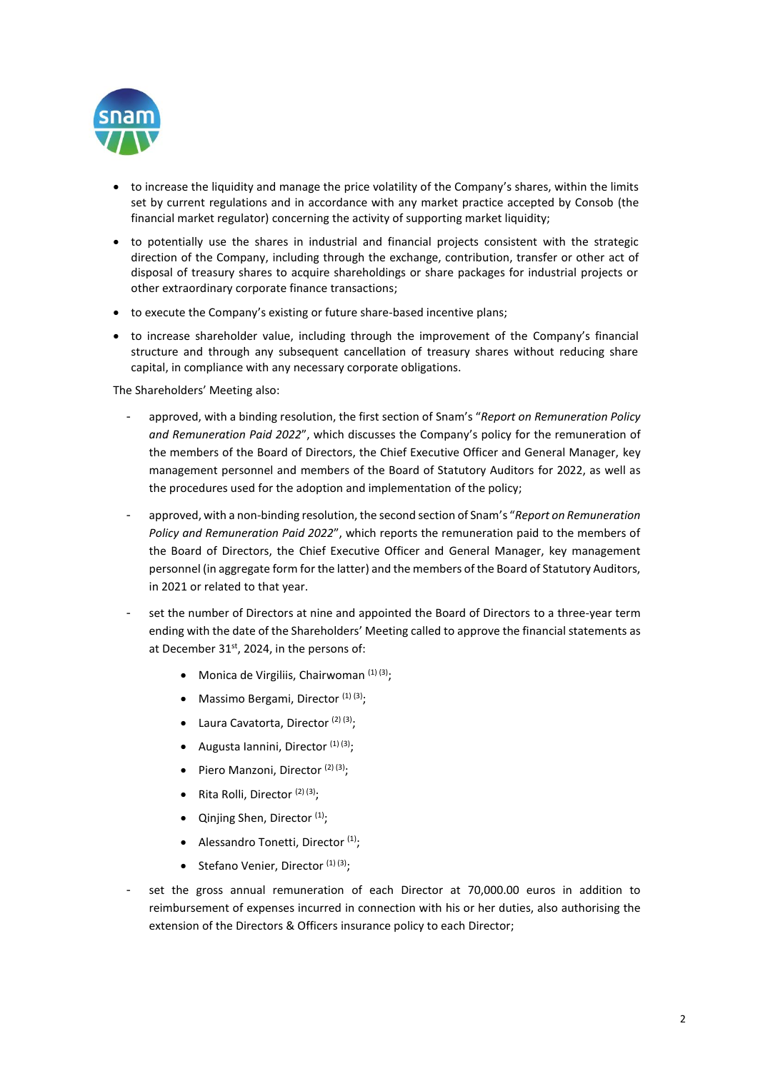

- to increase the liquidity and manage the price volatility of the Company's shares, within the limits set by current regulations and in accordance with any market practice accepted by Consob (the financial market regulator) concerning the activity of supporting market liquidity;
- to potentially use the shares in industrial and financial projects consistent with the strategic direction of the Company, including through the exchange, contribution, transfer or other act of disposal of treasury shares to acquire shareholdings or share packages for industrial projects or other extraordinary corporate finance transactions;
- to execute the Company's existing or future share-based incentive plans;
- to increase shareholder value, including through the improvement of the Company's financial structure and through any subsequent cancellation of treasury shares without reducing share capital, in compliance with any necessary corporate obligations.

The Shareholders' Meeting also:

- approved, with a binding resolution, the first section of Snam's "*Report on Remuneration Policy and Remuneration Paid 2022*", which discusses the Company's policy for the remuneration of the members of the Board of Directors, the Chief Executive Officer and General Manager, key management personnel and members of the Board of Statutory Auditors for 2022, as well as the procedures used for the adoption and implementation of the policy;
- approved, with a non-binding resolution, the second section of Snam's "*Report on Remuneration Policy and Remuneration Paid 2022*", which reports the remuneration paid to the members of the Board of Directors, the Chief Executive Officer and General Manager, key management personnel (in aggregate form for the latter) and the members of the Board of Statutory Auditors, in 2021 or related to that year.
- set the number of Directors at nine and appointed the Board of Directors to a three-year term ending with the date of the Shareholders' Meeting called to approve the financial statements as at December 31<sup>st</sup>, 2024, in the persons of:
	- Monica de Virgiliis, Chairwoman  $(1)(3)$ ;
	- Massimo Bergami, Director  $(1)$   $(3)$ ;
	- Laura Cavatorta, Director  $(2)$   $(3)$ ;
	- Augusta Iannini, Director  $(1)(3)$ ;
	- Piero Manzoni, Director  $(2)$   $(3)$ ;
	- Rita Rolli, Director  $(2)$   $(3)$ :
	- Qinjing Shen, Director  $(1)$ ;
	- Alessandro Tonetti, Director  $(1)$ ;
	- Stefano Venier, Director  $(1)(3)$ ;
- set the gross annual remuneration of each Director at 70,000.00 euros in addition to reimbursement of expenses incurred in connection with his or her duties, also authorising the extension of the Directors & Officers insurance policy to each Director;